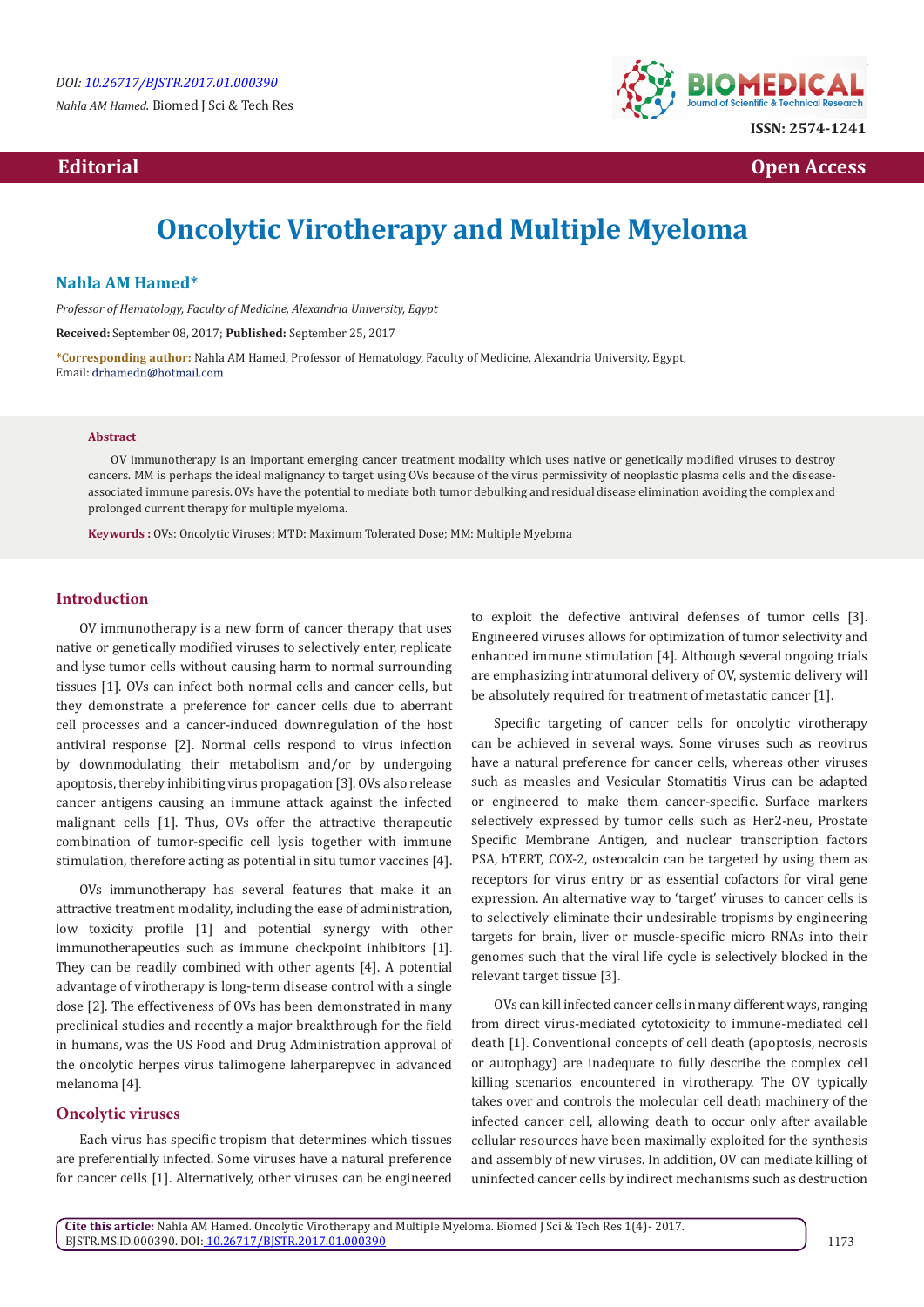*Nahla AM Hamed.* Biomed J Sci & Tech Res



*Editorial* **Contract Contract Contract Contract Contract Contract Contract Contract Contract Contract Contract Contract Contract Contract Contract Contract Contract Contract Contract Contract Contract Contract Contract** 

# **Oncolytic Virotherapy and Multiple Myeloma**

# **Nahla AM Hamed\***

*Professor of Hematology, Faculty of Medicine, Alexandria University, Egypt*

**Received:** September 08, 2017; **Published:** September 25, 2017

**\*Corresponding author:** Nahla AM Hamed, Professor of Hematology, Faculty of Medicine, Alexandria University, Egypt, Email: drhamedn@hotmail.com

## **Abstract**

OV immunotherapy is an important emerging cancer treatment modality which uses native or genetically modified viruses to destroy cancers. MM is perhaps the ideal malignancy to target using OVs because of the virus permissivity of neoplastic plasma cells and the diseaseassociated immune paresis. OVs have the potential to mediate both tumor debulking and residual disease elimination avoiding the complex and prolonged current therapy for multiple myeloma.

**Keywords :** OVs: Oncolytic Viruses; MTD: Maximum Tolerated Dose; MM: Multiple Myeloma

# **Introduction**

OV immunotherapy is a new form of cancer therapy that uses native or genetically modified viruses to selectively enter, replicate and lyse tumor cells without causing harm to normal surrounding tissues [1]. OVs can infect both normal cells and cancer cells, but they demonstrate a preference for cancer cells due to aberrant cell processes and a cancer-induced downregulation of the host antiviral response [2]. Normal cells respond to virus infection by downmodulating their metabolism and/or by undergoing apoptosis, thereby inhibiting virus propagation [3]. OVs also release cancer antigens causing an immune attack against the infected malignant cells [1]. Thus, OVs offer the attractive therapeutic combination of tumor-specific cell lysis together with immune stimulation, therefore acting as potential in situ tumor vaccines [4].

OVs immunotherapy has several features that make it an attractive treatment modality, including the ease of administration, low toxicity profile [1] and potential synergy with other immunotherapeutics such as immune checkpoint inhibitors [1]. They can be readily combined with other agents [4]. A potential advantage of virotherapy is long-term disease control with a single dose [2]. The effectiveness of OVs has been demonstrated in many preclinical studies and recently a major breakthrough for the field in humans, was the US Food and Drug Administration approval of the oncolytic herpes virus talimogene laherparepvec in advanced melanoma [4].

#### **Oncolytic viruses**

Each virus has specific tropism that determines which tissues are preferentially infected. Some viruses have a natural preference for cancer cells [1]. Alternatively, other viruses can be engineered

to exploit the defective antiviral defenses of tumor cells [3]. Engineered viruses allows for optimization of tumor selectivity and enhanced immune stimulation [4]. Although several ongoing trials are emphasizing intratumoral delivery of OV, systemic delivery will be absolutely required for treatment of metastatic cancer [1].

Specific targeting of cancer cells for oncolytic virotherapy can be achieved in several ways. Some viruses such as reovirus have a natural preference for cancer cells, whereas other viruses such as measles and Vesicular Stomatitis Virus can be adapted or engineered to make them cancer-specific. Surface markers selectively expressed by tumor cells such as Her2-neu, Prostate Specific Membrane Antigen, and nuclear transcription factors PSA, hTERT, COX-2, osteocalcin can be targeted by using them as receptors for virus entry or as essential cofactors for viral gene expression. An alternative way to 'target' viruses to cancer cells is to selectively eliminate their undesirable tropisms by engineering targets for brain, liver or muscle-specific micro RNAs into their genomes such that the viral life cycle is selectively blocked in the relevant target tissue [3].

OVs can kill infected cancer cells in many different ways, ranging from direct virus-mediated cytotoxicity to immune-mediated cell death [1]. Conventional concepts of cell death (apoptosis, necrosis or autophagy) are inadequate to fully describe the complex cell killing scenarios encountered in virotherapy. The OV typically takes over and controls the molecular cell death machinery of the infected cancer cell, allowing death to occur only after available cellular resources have been maximally exploited for the synthesis and assembly of new viruses. In addition, OV can mediate killing of uninfected cancer cells by indirect mechanisms such as destruction